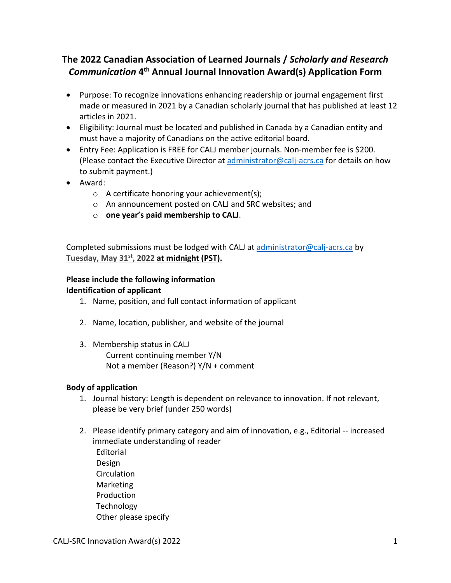## **The 2022 Canadian Association of Learned Journals /** *Scholarly and Research Communication* **4th Annual Journal Innovation Award(s) Application Form**

- Purpose: To recognize innovations enhancing readership or journal engagement first made or measured in 2021 by a Canadian scholarly journal that has published at least 12 articles in 2021.
- Eligibility: Journal must be located and published in Canada by a Canadian entity and must have a majority of Canadians on the active editorial board.
- Entry Fee: Application is FREE for CALJ member journals. Non-member fee is \$200. (Please contact the Executive Director at [administrator@calj-acrs.ca](mailto:administrator@calj-acrs.ca) for details on how to submit payment.)
- Award:
	- o A certificate honoring your achievement(s);
	- o An announcement posted on CALJ and SRC websites; and
	- o **one year's paid membership to CALJ**.

Completed submissions must be lodged with CALJ at [administrator@calj-acrs.ca](mailto:administrator@calj-acrs.ca) by **Tuesday, May 31st, 2022 at midnight (PST).**

## **Please include the following information Identification of applicant**

- 1. Name, position, and full contact information of applicant
- 2. Name, location, publisher, and website of the journal
- 3. Membership status in CALJ Current continuing member Y/N Not a member (Reason?) Y/N + comment

## **Body of application**

- 1. Journal history: Length is dependent on relevance to innovation. If not relevant, please be very brief (under 250 words)
- 2. Please identify primary category and aim of innovation, e.g., Editorial -- increased immediate understanding of reader Editorial Design **Circulation** Marketing Production Technology Other please specify